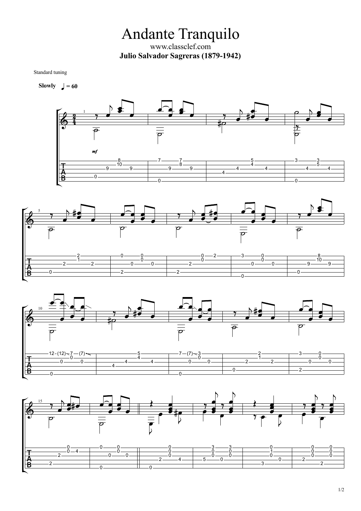Andante Tranquilo www.classclef.com **Julio Salvador Sagreras (1879-1942)**

Standard tuning

**Slowly**  $= 60$